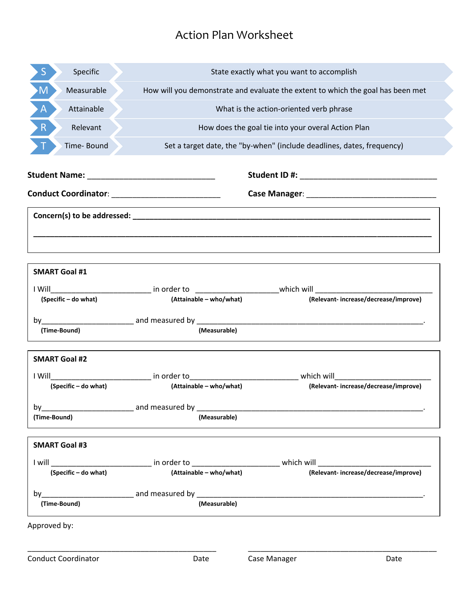# Action Plan Worksheet

| Specific<br>S              | State exactly what you want to accomplish                                       |                                                                                                                                                                                                                                |  |  |  |  |
|----------------------------|---------------------------------------------------------------------------------|--------------------------------------------------------------------------------------------------------------------------------------------------------------------------------------------------------------------------------|--|--|--|--|
| M<br>Measurable            | How will you demonstrate and evaluate the extent to which the goal has been met |                                                                                                                                                                                                                                |  |  |  |  |
| $\mathsf{A}$<br>Attainable | What is the action-oriented verb phrase                                         |                                                                                                                                                                                                                                |  |  |  |  |
| R<br>Relevant              | How does the goal tie into your overal Action Plan                              |                                                                                                                                                                                                                                |  |  |  |  |
| Time-Bound                 |                                                                                 | Set a target date, the "by-when" (include deadlines, dates, frequency)                                                                                                                                                         |  |  |  |  |
|                            |                                                                                 |                                                                                                                                                                                                                                |  |  |  |  |
|                            |                                                                                 |                                                                                                                                                                                                                                |  |  |  |  |
|                            |                                                                                 |                                                                                                                                                                                                                                |  |  |  |  |
|                            |                                                                                 |                                                                                                                                                                                                                                |  |  |  |  |
|                            |                                                                                 |                                                                                                                                                                                                                                |  |  |  |  |
| <b>SMART Goal #1</b>       |                                                                                 |                                                                                                                                                                                                                                |  |  |  |  |
|                            |                                                                                 |                                                                                                                                                                                                                                |  |  |  |  |
| (Specific - do what)       | (Attainable – who/what)                                                         | (Relevant-increase/decrease/improve)                                                                                                                                                                                           |  |  |  |  |
|                            |                                                                                 |                                                                                                                                                                                                                                |  |  |  |  |
| (Time-Bound)               | (Measurable)                                                                    |                                                                                                                                                                                                                                |  |  |  |  |
| <b>SMART Goal #2</b>       |                                                                                 |                                                                                                                                                                                                                                |  |  |  |  |
|                            |                                                                                 | I Will are not in order to the control of the which will which will                                                                                                                                                            |  |  |  |  |
| (Specific - do what)       | (Attainable - who/what)                                                         | (Relevant-increase/decrease/improve)                                                                                                                                                                                           |  |  |  |  |
| $by_$                      | and measured by ___________                                                     |                                                                                                                                                                                                                                |  |  |  |  |
| (Time-Bound)               | (Measurable)                                                                    |                                                                                                                                                                                                                                |  |  |  |  |
| <b>SMART Goal #3</b>       |                                                                                 |                                                                                                                                                                                                                                |  |  |  |  |
|                            |                                                                                 | I will contain the contract of the contract of the contract of the contract of the contract of the contract of the contract of the contract of the contract of the contract of the contract of the contract of the contract of |  |  |  |  |
| (Specific - do what)       | (Attainable - who/what)                                                         | (Relevant-increase/decrease/improve)                                                                                                                                                                                           |  |  |  |  |
|                            |                                                                                 | by and measured by and measured by the contract of the contract of the contract of the contract of the contract of the contract of the contract of the contract of the contract of the contract of the contract of the contrac |  |  |  |  |
| (Time-Bound)               | (Measurable)                                                                    |                                                                                                                                                                                                                                |  |  |  |  |
| Approved by:               |                                                                                 |                                                                                                                                                                                                                                |  |  |  |  |
| <b>Conduct Coordinator</b> | Date                                                                            | Case Manager<br>Date                                                                                                                                                                                                           |  |  |  |  |